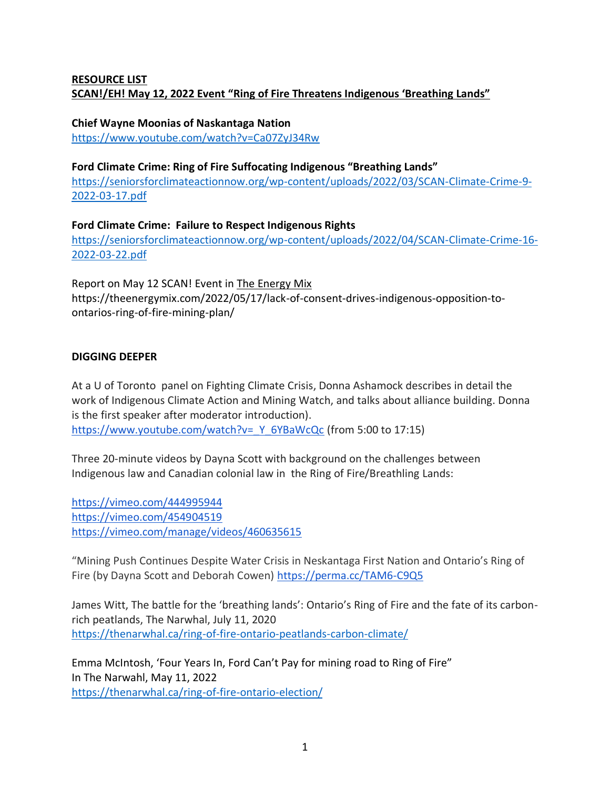# **RESOURCE LIST SCAN!/EH! May 12, 2022 Event "Ring of Fire Threatens Indigenous 'Breathing Lands"**

#### **Chief Wayne Moonias of Naskantaga Nation**

<https://www.youtube.com/watch?v=Ca07ZyJ34Rw>

#### **Ford Climate Crime: Ring of Fire Suffocating Indigenous "Breathing Lands"**

[https://seniorsforclimateactionnow.org/wp-content/uploads/2022/03/SCAN-Climate-Crime-9-](https://seniorsforclimateactionnow.org/wp-content/uploads/2022/03/SCAN-Climate-Crime-9-2022-03-17.pdf) [2022-03-17.pdf](https://seniorsforclimateactionnow.org/wp-content/uploads/2022/03/SCAN-Climate-Crime-9-2022-03-17.pdf)

**Ford Climate Crime: Failure to Respect Indigenous Rights** [https://seniorsforclimateactionnow.org/wp-content/uploads/2022/04/SCAN-Climate-Crime-16-](https://seniorsforclimateactionnow.org/wp-content/uploads/2022/04/SCAN-Climate-Crime-16-2022-03-22.pdf) [2022-03-22.pdf](https://seniorsforclimateactionnow.org/wp-content/uploads/2022/04/SCAN-Climate-Crime-16-2022-03-22.pdf)

Report on May 12 SCAN! Event in The Energy Mix https://theenergymix.com/2022/05/17/lack-of-consent-drives-indigenous-opposition-toontarios-ring-of-fire-mining-plan/

## **DIGGING DEEPER**

At a U of Toronto panel on Fighting Climate Crisis, Donna Ashamock describes in detail the work of Indigenous Climate Action and Mining Watch, and talks about alliance building. Donna is the first speaker after moderator introduction). https://www.youtube.com/watch?v= Y\_6YBaWcQc (from 5:00 to 17:15)

Three 20-minute videos by Dayna Scott with background on the challenges between Indigenous law and Canadian colonial law in the Ring of Fire/Breathling Lands:

<https://vimeo.com/444995944> <https://vimeo.com/454904519> <https://vimeo.com/manage/videos/460635615>

"Mining Push Continues Despite Water Crisis in Neskantaga First Nation and Ontario's Ring of Fire (by Dayna Scott and Deborah Cowen) <https://perma.cc/TAM6-C9Q5>

James Witt, The battle for the 'breathing lands': Ontario's Ring of Fire and the fate of its carbonrich peatlands, The Narwhal, July 11, 2020 <https://thenarwhal.ca/ring-of-fire-ontario-peatlands-carbon-climate/>

Emma McIntosh, 'Four Years In, Ford Can't Pay for mining road to Ring of Fire" In The Narwahl, May 11, 2022 <https://thenarwhal.ca/ring-of-fire-ontario-election/>